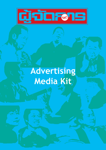

# **Advertising Media Kit**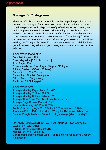### **Manager 360° Magazine**

Manager 360° Magazine is a monthly premier magazine provides comprehensive coverage of business news from a local, regional and national perspective. With a high value of professional editorial team, we brilliantly present the unique views with trending approach and always seeks to the best sources of information. Our impressive audience positions gotomanager.com as a top-tier destination for retrieving Thailand business related information since 1983 -- the year we established. Powered by the Manager Business Database, we create the model that integrated between magazine and gotomanager.com website to keep visitors informed.

#### **ABOUT THE MAGAZINE:**

Founded: August 1983 Size : Magazine [8.5 inch x 11 inch] Total Page : 200 Cover / Inside : Art Card Paper 210 gram/105 gram Printing System : Offset [175 lines] Distribution : 160,000/month Circulation : The 1st of every month Editor: Pundop Tungsrivong Publisher: Tul Sirikulpipat

#### **ABOUT THE SITE:**

Average Monthly Page Views: 311,693 Average Monthly Visitors: 220,221 Average Monthly Unique Visitors: 176,111 Average Time Spent Per Visit: 1 minutes 4 seconds Average Page Browse Per Visit: 1.42 New vs. Returning : 67.93%/32.07% Traffic Sources : google:70.17%/direct:7.07%/ referral: 18.78% Associate Editor: Pairoh Lertwiram, Wongchai Rattana-wichit-tavorn Source: Google Analytics, 3-month rolling average (Mar '11 – May'11)

#### **FOR MORE INFORMATION CONTACT YOUR Manager 360° Magazine SALES REPRESENTATIVE.**

Phone: +66 (0) 2632-6600 ext. 2501 Mobile: +66 (0) 8-1285-5142 E-mail: traffic@astvmanager.com, j\_apiramanon@yahoo.com (Jiraporn Apiramanon)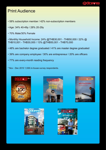### <u> तुरुविद्यान</u>

# Print Audience

- 58% subscription member / 42% non-subscription members
- Age: 34% 40-49y / 28% 20-29y
- 70% Male/30% Female
- Monthly Household Income: 24% @THB30,001 THB50,000 / 22% @ THB10,001 - THB30,000 / 13% @THB50,001 - THB70,000
- 48% are bachelor degree graduated / 41% are master degree graduated
- 39% are company employee / 30% are entrepreneur / 20% are officers
- 77% are every-month reading frequency
- \* Nov Dec 2010 1,936 in-house xurvey respondents.









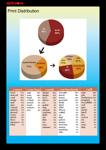# **djackens**

# Print Distribution



| ภาคกลาง                                                                                                                                                                          | ภาคตะวันออก                                                                                                                                    | ภาคเหนือ                                                                                                                                                                    | ภาคตะวันออกเฉียงเหนือ                                                                                                                                                               | ภาคใต้                                                                                                                                                                                |  |
|----------------------------------------------------------------------------------------------------------------------------------------------------------------------------------|------------------------------------------------------------------------------------------------------------------------------------------------|-----------------------------------------------------------------------------------------------------------------------------------------------------------------------------|-------------------------------------------------------------------------------------------------------------------------------------------------------------------------------------|---------------------------------------------------------------------------------------------------------------------------------------------------------------------------------------|--|
| สระบุรี<br>17%<br>นครสวรรค์<br>12%<br>ราชบุรี<br>12%<br>นครปฐม<br>10%<br>ลพบุรี<br>9%<br>9%<br>อยุธยา<br>8%<br>กาญจนบุรี<br>7%<br>สมุทรสาคร<br>7%<br>สุพรรณบุรี<br>2%<br>อ่างทอง | ชลบุรี<br>48%<br>23%<br><b>SEUDJ</b><br>จันทบุรี<br>8%<br>ปราจีนบุรี<br>5%<br>5%<br>นครนายก<br>สระแก้ว<br>5%<br>ฉะเชิงเทรา<br>4%<br>2%<br>ตราด | เชียงใหม่<br>40%<br>พิษณุโลก<br>13%<br>ลำปาง<br>10%<br>เชียงราย<br>9%<br>4%<br>ตาก<br>อุตรดิตถ์<br>4%<br>ลำพูน<br>4%<br>เพชรบูรณ์<br>3%<br>กำแพงเพชร<br>3%<br>สุโขทัย<br>2% | นครราชสีมา<br>19%<br>อุดรธานี<br>18%<br>ขอนแก่น<br>14%<br>อบลราชธานี<br>13%<br>ร้อยเอ็ด<br>6%<br>สุรินทร์<br>4%<br>บุรีรัมย์<br>4%<br>ศรีสะเกษ<br>4%<br>กาฬสินธ์<br>3%<br>3%<br>នេះ | 39%<br>สงขลา<br>ภูเก็ต<br>10%<br>นครศรีธรรมราช<br>10%<br>สุราษฎร์ธานี<br>9%<br>ประจวบคีรีขันธ์<br>6%<br>กระบี่<br>4%<br>4%<br>ชุมพร<br>เพชรบุรี<br>3%<br>ปัตตานี<br>3%<br>พังงา<br>3% |  |
| อุทัยธานี<br>2%<br>2%<br>ชัยนาท<br>2%<br>สมทรสงคราม<br>สิงท์บรี<br>1%                                                                                                            |                                                                                                                                                | นพร่<br>2%<br>พิจิตร<br>2%<br>น่าน<br>2%<br>1%<br>พะเยา<br>แม่ฮ่องสอน<br>1%                                                                                                 | ชัยภูมิ<br>3%<br>2%<br>มุกดาทาร<br>2%<br>นครพนม<br>2%<br>มหาสารคาม<br>1%<br>หนองคาย<br>ทนองบัวลำภู<br>1%<br>ยโสธร<br>1%                                                             | นราธิวาส<br>3%<br>ตรัง<br>2%<br>2%<br>ยะลา<br>1%<br><b>SEMBJ</b><br>พัทลุง<br>1%                                                                                                      |  |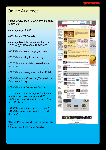### **diagraphy**

# Online Audience

#### **Urbanista, Early adopters AND mavens\***

- Average Age: 25-30
- 60% Male/40% Female
- Average Monthly Household Income: 26.32% @THB30,000 - THB45,000
- 43.75% are post-college graduated
- 73.33% are living in capital city
- 26.32% are associate professional and technical
- 21.05% are manager or senior official
- 21.43% are in Consulting/Professional Services industry
- 21.43% are in Consumer Products
- Users spend an average of 1 minutes and 5 seconds on site per visits\*\*
- 52% read magazine articles and 33% read PR News\*\*
- 51.72% accessing from their home\*
- 61.29% can access from their mobile devices\*

\* Source: May 22 - June 21, 2011 Effective Measure

\*\* Source : May 2011 Google Analytics

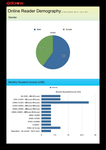### dara s

# Online Reader Demography by Effective Measure (May 22 - June 21, 2011)

#### **Gender**



#### Monthly Househol Income (US\$)



(Percent)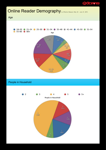### disposed di

# Online Reader Demography by Effective Measure (May 22 - June 21, 2011)

Age



#### People in Household

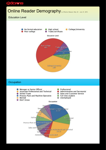### daa ah

# Online Reader Demography by Effective Measure (May 22 - June 21, 2011)

#### Education Level



#### **Occupation**

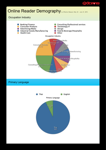### **disponsition**

# Online Reader Demography by Effective Measure (May 22 - June 21, 2011)

#### Occupation Industry



#### Primary Language

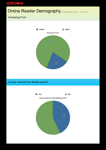### **digorals**

# Online Reader Demography by Effective Measure (May 22 - June 21, 2011)

### Accessing From



### Access Internet from Mobile phone?

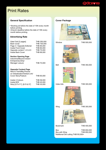### <u>तुंचेवह्ताड</u>

# Print Rates

#### **General Specification**

- Booking ad before the date of 10th every month before printing.
- Artwork deadline before the date of 15th every month before printing.

#### **Advertising Rate**

| Gate Fold [2 pages]                                                                                              | THB 250,000 |
|------------------------------------------------------------------------------------------------------------------|-------------|
| <b>Back Cover</b>                                                                                                | THB 100,000 |
| Page 3 / Opposite Editorial                                                                                      | THB 85,000  |
| Inside Front Cover                                                                                               | THB 80,000  |
| Opposite content 1,2,3,4,5                                                                                       | THB 75,000  |
| Inside Back Cover                                                                                                | THB 68,000  |
| <b>Section Opening Page</b><br>Indochina/Beyond Green/<br>Entrepreneurship/<br>Manager Leisure                   | THB 70,000  |
| <b>Opposite Content Page</b><br>New & Trend/Big Picture/<br>on Globalization/Global Link/<br>Cover Story/Feature | THB 65,000  |
| Inside 4 Colours                                                                                                 | THB 58,000  |
| Inside B/W                                                                                                       | THB 45,000  |
| Strip [2.5"x11"], [8.5"x2.5"]                                                                                    | THB 30,000  |

#### **Cover Package**



Window THB 500,000



Belt THB 350,000



Index Ads THB 300,000



Wing **THB 300,000** 



Bookmark THB 400,000

Box<br>Box with Wing THB 650,000 Box with Wing \*Additional Die cutting THB100,000+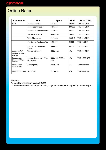# ddar e

# Online Rates

| <b>Placements</b>                                       | Unit                                   | <b>Specs</b>             | IMP <sup>1</sup> | Price (THB)          |  |
|---------------------------------------------------------|----------------------------------------|--------------------------|------------------|----------------------|--|
| <b>ROS</b>                                              | Leaderboard Top                        | 728 x 90                 | 308,641          | <b>THB 300 CPM</b>   |  |
|                                                         | Leaderboard Footer                     | 728 x 90                 | 288,926          | <b>THB 100 CPM</b>   |  |
|                                                         | Leaderboard Photo Viewer               | 728 x 90                 | 3,842            | <b>THB 100 CPM</b>   |  |
|                                                         | Medium Rectangle                       | 300 x 250                | 296,741          | THB 275/CPM          |  |
|                                                         | Wide-Skyscraper                        | 160 x 600                | 296,240          | <b>THB 250/CPM</b>   |  |
|                                                         | <b>Full Banner Printnews Top</b>       | 468 x 60                 | 94,090           | THB 75/CPM           |  |
|                                                         | <b>Full Banner Printnews</b><br>Footer | 468 x 60                 | 93,319           | THB 75/CPM           |  |
| Welcome Ad <sup>2</sup> /<br>Preload Ad/Cov-<br>er Page | <b>Welcome Screen</b>                  | 640 x 480                | N/A              | <b>THB 500 CPM</b>   |  |
| Sponsorship<br>(Bundle with Maga-<br>zine Ads.)         | Medium Rectangle / Wide-<br>Skyscraper | 300 x 250 / 160 x<br>600 | N/A              | <b>THB 1,500 CPD</b> |  |
| Floating ads/<br>Overlay ads                            | Floating ads                           | 550 x 480                | N/A              | Call Sales rep.      |  |
| Pre-roll VDO ads                                        | HD format                              | HD format                | N/A              | Call Sales rep.      |  |

Remark

1. Monthly Impression (August 2011).

2. Welcome Ad is ideal for your landing page or lead capture page of your campaign.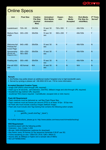### dbar: E

# **Online Specs**

| <b>Unit</b>                                     | <b>Pixel Size</b>       | <b>Creative</b><br><b>File Size</b><br>(Innitial/<br>Max) | Animation/<br><b>Rich Media</b><br><b>Animation</b> | Expan-<br>sion | Rich-<br><b>Media</b><br><b>Accepted</b> | <b>Rich-Media</b><br>File Size (In-<br>nitial/Max) | 3RD Party<br>Served <sup>1</sup> |
|-------------------------------------------------|-------------------------|-----------------------------------------------------------|-----------------------------------------------------|----------------|------------------------------------------|----------------------------------------------------|----------------------------------|
| Leaderboard                                     | 728 x 90                | 30k/50k                                                   | 15 sec/ 30<br>sec                                   | 728 x 500      | Y                                        | 40k/100k                                           | Y                                |
| <b>Medium Rect-</b><br>angle                    | 300 x 250               | 30k/50k                                                   | 15 sec/ 30<br>sec                                   | 550 x 250      | Y                                        | 40k/100k                                           | Y                                |
| Welcome Ad/<br>Preload Ad/<br><b>Cover Page</b> | 640 x 480               | 30k/50k                                                   | 15 sec/ 30<br>sec                                   | N              | Y                                        | 40k/100k                                           | N                                |
| Sponsorship<br>(Bundle with<br>Magazine Ads.)   | 300 x 250/<br>160 x 600 | 30k/50k                                                   | 15 sec/ 30<br>sec                                   | Ÿ              | Ý                                        | 40k/100k                                           | N                                |
| Floating ads                                    | 550 x 480               | 30k/50k                                                   | 15 sec/ 30<br>sec                                   | N              | Y                                        | 40k/100k                                           | N                                |
| Pre-roll VDO<br>ads                             | HD format               | N/A                                                       | 15 sec/ 30<br>sec                                   | N              | $\overline{N}$                           | N/A                                                | N                                |

#### **Remark**

- 1. 3rd-Parties may polite stream an additional media if targeted only to high-bandwidth users.
- 2. Served by synergy-e please call +66-2652-3014 ext. 116 for more information.

#### **Accepted Standard Creative Types**

- Image (GIF/JPEG) (click-through URL required)
- Flash (up to 30 seconds, .swf extension, clickTAG, fallback image and click-through URL required)
- DoubleClick tag (redirect URL required)
- JavaScript TAG (macro required : CacheBuster, escaped click or click macro)

#### **Flash AD Requirement**

- Flash creatives must be delivered as .swf files Flash Player files.
- Flash creatives must set frames per second (FPS) to at lease 18 fps 30 fps max.
- All Flash ads must include a backup images (fallback image)
- Flash ads must include click Tag tracking that contains the following action scripts:

$$
\begin{array}{c}\n\text{on (release)} \{\\ \text{getURL}(\end{array}
$$

level0.clickTag," blank");

$$
\mathcal{Y}_{\mathcal{A}}
$$

For further instructions, please go to: http://www.adobe.com/resources/richmedia/tracking/

#### **VDO Requirement**

Quicktime export with the following profile:

- Extension: .mov; Codec: h.264
- Bit-rate: 3000-5000kbits/sec (optimize for download)
- Key frame: every 30 frames (or the sequence framerate if 29.97 use 30)
- Frame reordering on size: 1280x720 (16:9) 1280 x 960(4:3)
- Sound: AAC at 256kbps or higher and a sample rate of 48khz
- NO LETTERBOXING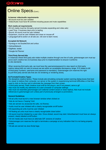### <u>त्तेनेव ल्ला</u>

# Online Specs (Cont.)

#### **In-banner video/audio requirements**

- All sound must be user initiated
- Video/Audio must have fill controls including pause and mute capabilities

#### **Rich media ad requirements**

- All rich media must be 3rd-party served (includes expanding and video ads)
- Lead Time: 3 business days prior to testing
- Sound: All sound must be user initiated
- Expansion: must be user initiated and close on mouse-off
- Language/Call-to-action on all ads (ex. roll over to learn more)

#### **Accepted Ad Network**

- Synergy-e via DoubleClick and unitus
- AdmaxNetwork
- Digithais: isobar
- Google Ad Planner

#### **Third Party Served Ads**

In instances where third party ads rotate multiple creative through one line of code, gotomanager.com must approve each creative two (3) business days prior to implementation to ensure it conforms to site standards.

When receiving third party ads, we must have the username/password to view report on third party metrics (along with our own) to ensure we are within an acceptable discrepancy range. If IO states to bill of third-party numbers, username and password is mandatory. Gotomanager.com reserves the right to pull third party served ads that are not rendering or rendering slowly.

#### **Ad Formats/Creative Types**

- No deceptive creative tactics. These include ads simulating computer system warning dialog boxes that lead the viewer to believe their computer, our server or the system in experiencing technical difficulties or that they need to click on the box (ad) to eliminate the message from their screen.
- If third party served, Flash creative must sniff for the plug-in, and if not present, serve a gif
- Ads must not modify any elements of a user's browser or computer settings
- Ads must not resemble gotomanager.com editorial content (exact or close replica). Ads must not include references to gotomanager.com unless part of previously arranged co-promotions.

#### **General Guidelines**

- All ad units must launch a new browser window when clicked on
- Ads do not have a "looping" limit
- Ads are served via Javascript Ad calls, not iframes.
- Audio must be user initiated with a clearly recognizable on/off button
- All expanding ad units must be user initiated
- All floating ad units must have a clearly recognizable close button
- All sound must be initiated by a user click. Once clicked, sound may start. Advertisement must have an always present, clearly labeled on/off button.
- All rich media ads must have an alternate GIF versions of creative
- Gotomanager.com reserves the right to terminate a campaign at any indication that it is not being properly served.
- All ads are served via Java Script tags.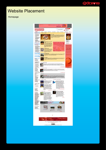

# Website Placement

#### Homepage

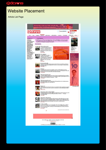### <u>प्रेचेंदाल इ</u>

# Website Placement

#### Article List Page

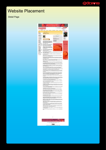## <u> प्रेगेंवह १५</u>

# Website Placement

Detail Page



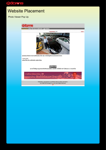# <u>पुंचेंवह १५</u>

# Website Placement

Photo Viewer Pop Up

didonns ... มะนียม โดโด กรุ๊ป จากเดินท์รถมือ 2 สู่ผู้นำเข้า ................... next>> สุกสะหมอน สีหมทพ ประธานบริษัทมะนิยม โอโต กรุ๊ป ภายในโชร์รูมที่ประกอบด้วยรถหลากหลาย p news stories มะนียม โอโค กรุ๊ป จากเต็นท์รถมือ 2 ตู่ผู้นำเข้าอิตระ  $@@@0$ ผลงานนี้ ใช้สัญญาอนุญาตของครีเอทีห่คอมมอนส์แบบ แสดงที่มา-ไม่ใช่เพื่อการค้า-ไม่ตัดแปลง 3.0 ประเทศไทย การศึกษาสังงมาก่อน )≫<br>ลูกหลานไทย **ต้องได้เรียนมหาวิทยาลัย**์!

> Publication, reproduction is prohibited without written permission.<br>(cc) 2008 ASTVmanager Co., Ltd. Some Rights Reserved. п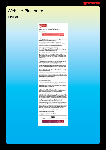### **diagraphy**

# Website Placement

#### Print Page



ตีเมือง กรุ๊ป โรลต์-รอยซ์ดันนี้ ไม่ได้ตั้งใจขาย

Tea Starre Anticol<br>Generalism a 360 anni (moveme 2554)



ologick seit

นการายเป็น้ำที่เป็นสันเทนจังหน้ายเข้าเป็นทางการองานทุนล่อยระดังว่าๆ ที่เข้ามาในการ ผู้สำเนียกลู่อานี้ย<br>ซึ่งสว่าเสียไว้หัวหนาหากระดับและระดับเปล่านี้ก็ผู้นำเข้ารถเหลี่ยว:

whoirsered meditors and they concern providing statement assets following

 $v$  and  $\alpha$  and  $\beta$  and  $\beta$  is a construction of the construction of  $\alpha$  and  $\beta$  and  $\beta$  and  $\beta$ าเก็บเหตุน้ำหนดเป็นแบ้งน่าเอกเป็นให้อะไปเล้าเอฟฟ้นนี้เห็นหลับอีก ที่เป็นหลัก 2

dels von Australiensternehörbund, wärdnichten

ว่าแต่ และต่อเป็นไม่ได้เป็นทาง แต่ว่าเกล็กไวดีเป็นผู้เหตุการู้จะที่มีความเป็น แต่เหมาะที่นี่ ลูกตำต่ออาจาระ<br>แต่ง เราจากรายคนกับรับไม่ไม่ใจ เป็นรูปเป็นเวลาราย ตนตัวเอาจารู้หนึ่ง ซึ่นคณะเล่าและการเข้ม แต่เห็น<br>นายคนกับรับไม่

นวันพิเศรษ อันเลยที่ ไม่โค กวัน เป็นบริษัทในแทร์เป็นโดยกวัน กลุ่มทุกรับคนาดในภูทินาเหนือเรียกคุ่มหนึ่งใน พบมั

มีเดียง หรือ ก่องให้ในเมื่อวันที่ 10 ตุลาคม 2041 (2000) เป็นทัพทากรูปกับรับเทน ก่อนทัพ ที่ไม่พระราชอง<br>รัฐบาล และเลขาย คัณะไม่สุดๆสร้องการอุดนาทัพทัพ การตัว การบำเข้า สองอะไรเข้า ก็จะกำเัน เมื่ออเละ<br>โรงการแล้วสหระวัตร: ที่

are framed late rije banked die e die zijn de deel af veeraliteis care, van er; fingeligense

-<br>"Instrumentale interaction in the top indifferent of a unterconnect Attentional county and<br>sendboother dimensionality (the method of them is boson) to be ript one.

totals Deptativ accompanies surrigates a du fe a toda material rispond

นเป็นให้ว่าใจเล่าจะเพิ่มันขึ้นและใช้มะคุร เพื่อเองว่าเป็นว่าว่า เป็นอาจมีการใหม่ มีการอัญเลยน้ำแนะก<br>เมือง มาร่างในการการจร้าง และหรือถึงแต่ และที่ยังมีถูกนำไรวันเล็มใช้เป็นการกล จักรทันเลยน้ำแนะกลับเ

andelen genen en basel ble Denskrehat undsforskriefalstystsmisster

ในเทราการอยู่ร้างว่าจะเหมือง มา จินเลย์ โรโล แนริงว่าถ้าจะเหมืองในทุกราชโทรุ่งว่าเทราะใช้กิ่ง<br>กรุงอุทธิที่มีกำลังใจอุทริมารถพระผู้ใหม่

ายที่สร้างที่มีของและพระองรู้ในงานการที่ถูกของนี้ คือแหร่ใจ 575 ที่สร้างการายถูงในการ 1 และพระอาชี<br>ของและท้างเป็นไม่ไขสำเนาเก่ารุกเขอร์ พากัส

tersensvergeliserende envisionis, alsbehördelsesch vonstausdeute (v.b.<br>Seines festellunds zur derstausde Arrabsjägn untstagten der allerenden Kabuar<br>de der auskepani zur einster Einwendere

อยาครอยู่ในการ เป็นวันทฤษาพย์พลาเพื่อนำเนิดว่าอยาก 6 ปีชื่อสำ ที่พลานฐกิจ พอมาจได้สำเน็จที่จะเริ่ม<br>พลับหนึ่ง บนจากพรวบหนึ่งฐานเห็สซึ่งจากสีสาขาวฝนใจ หายสานฐกิจ

dening Machdangbearreghte

"พากเจ้าของร่วมคำหาดมีอยู่ก่องร่วมรูปร่วมสวน เป็นร่วมเล็กๆ ที่ต้อง พากแนว ซึ่งได้ ซึ่งแอร์ต 100 ตัวและ<br>พากอยู่ วงส...ออ. เหรือญ ก็พบพร้อมเล แต่ไม่"พร้อมมือง พากเข้าคูกก็หรืออาเหรือหรือ หลังงาน หรือเหมือนเล่<br>พวกที่ทำงานให้

การทั้งสายฐกิจและมาระดับไหรใน กลายเป็นหลายเกิดใหม่ในให้กับเกิดใหม่แล้วสองแต่ จากต่างว่าและทาร์และที่<br>และครูกออกเห็นให้การในที่และหล่ายนำเหญิงสายใน สาว แล้ว

นคารที่เดิจันหลังนี้สำหาใช้ได้หลายความว่ายังเว้นทางทางพลายญามิหนึ่ง ทั้งหลด

ครอดินท้าน กลับเมืองกองรายใหม่นี้แนกให้กับผู้บำนำไปตาม เพราะหัวเอาเล่าหน่าย อย่ายเป็นหายการของรายอน<br>ขุกที่ต้อยูกทำกัดการเจ้าของเอราะห์ในเรื่องของรุษระทั่งหน้ายที่พาจำกรย่าย ของกับการป้อนท้อย่างที่สอบาย<br>ข้อมูลต่างสายที่กวร

ขึ้นความคนนี้ในครไปอยู่ในมีเทองเป็นๆไว้ เข้าเบอนนี้เรา

ายหน้าอย่างที่มีหลับจากกล่าวโดยทำให้เป็นทำให้เป็นทำให้เป็นที่ของโคลิฟากาเกียรทั้งหมด อาเวียงเหลี่ย ซึ่ง<br>อาจมีที่มีให้เป็นการของเอาหาริย์ให้ แต่เหมดูที่ (Pappar หน้าใหมดนักและที่ p.1) และเป็นที่เป็นที่ของเอาหน้าเป็น<br>หน้าเ

อย่านั่งก็ควบ จึงครึ่งที่กลับใหญ่กำสารสอนเป็นระเรียนของ ในว่าจะเป็นในความรับไทย ที่ต้องการเชื่อนั้นของ<br>ลูกค้าที่แนวที่กาย เกี่ยวกันที่ของวัยว่าหนังการสามารับการทำแน่วน โดยและน เรื่องหน้าหว

เพื่อสร้างความนั้นไม่ใช่ในรูปทำในคุณนี้ ปรับผู้นำเข้าของเพื่อหน้าออก ซึ่ง 2 ราย มีได้มีแต่ไขรับเทียร์เบียนคน<br>เขาไปของแคร์เบอร์กานสินา ทั้งคูงกลีสุนย์ของกับ และครั้งกล้องใช้ปรากอยู่หลัก รวมถึงมีการร้องกล้อง<br>ของการใช้จานให้

ความและ Grey Haven อาจเป็น ออกเห็นใหญ่ จากเป็นจากเป็นก่อนเป็นเองการเองกู เพราะจำนวนเพลาะที่<br>มีกำลังนี้ของโคลองกล่าวเป็นก็เอก 1 แล้ว ออกจาร์ที่เริ่ม มันนี้ในอาจ ออกจากและกา จากถูกอยู่ผู้จะทำในกา<br>และเปลาหรือสื่อ 100 คือ คือ

อย่างกรมีการ ข้อมอย่าไมโล ที่มียังข้องมีเพื่องการขอมเปิลใหม่ใจและการอยู่บอร์เกา ซึ่งย้อมเปิลยาร ขอเร็ง<br>หน่วยงานต่างๆ ห้อมอยู่รูบาลและเมาะรุ่น ที่เรียก กรีเรียกผู้เปิลทุกเพื่อในเรียกกลาวก

นค่องหนีได้และหลักทำสัตินั่งถึงจะทางอะลัยเอา

ful signification and have subject recovered situacidentes

nfojni vih

send Mayora meritations of the context and the file of the context of the context of

si.com/o 2,500 use feda structure (COLOR)

posizioni Abitymanager Co., Lot. Some Rigns Hesenver